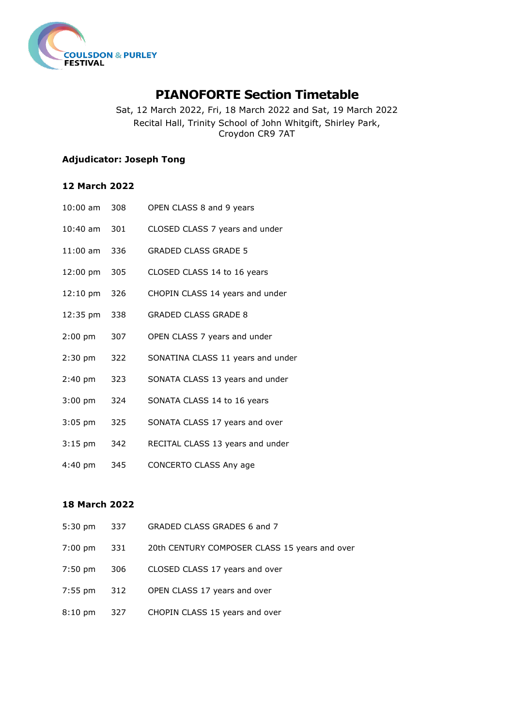

# **PIANOFORTE Section Timetable**

Sat, 12 March 2022, Fri, 18 March 2022 and Sat, 19 March 2022 Recital Hall, Trinity School of John Whitgift, Shirley Park, Croydon CR9 7AT

## **Adjudicator: Joseph Tong**

### **12 March 2022**

| $10:00$ am | 308 | OPEN CLASS 8 and 9 years          |
|------------|-----|-----------------------------------|
| $10:40$ am | 301 | CLOSED CLASS 7 years and under    |
| $11:00$ am | 336 | <b>GRADED CLASS GRADE 5</b>       |
| 12:00 pm   | 305 | CLOSED CLASS 14 to 16 years       |
| $12:10$ pm | 326 | CHOPIN CLASS 14 years and under   |
| 12:35 pm   | 338 | <b>GRADED CLASS GRADE 8</b>       |
| $2:00$ pm  | 307 | OPEN CLASS 7 years and under      |
| $2:30$ pm  | 322 | SONATINA CLASS 11 years and under |
| $2:40$ pm  | 323 | SONATA CLASS 13 years and under   |
| $3:00$ pm  | 324 | SONATA CLASS 14 to 16 years       |
| $3:05$ pm  | 325 | SONATA CLASS 17 years and over    |
| $3:15$ pm  | 342 | RECITAL CLASS 13 years and under  |
| 4:40 pm    | 345 | CONCERTO CLASS Any age            |

#### **18 March 2022**

| 5:30 pm | 337 | GRADED CLASS GRADES 6 and 7                   |
|---------|-----|-----------------------------------------------|
| 7:00 pm | 331 | 20th CENTURY COMPOSER CLASS 15 years and over |
| 7:50 pm | 306 | CLOSED CLASS 17 years and over                |
| 7:55 pm | 312 | OPEN CLASS 17 years and over                  |
| 8:10 pm | 327 | CHOPIN CLASS 15 years and over                |